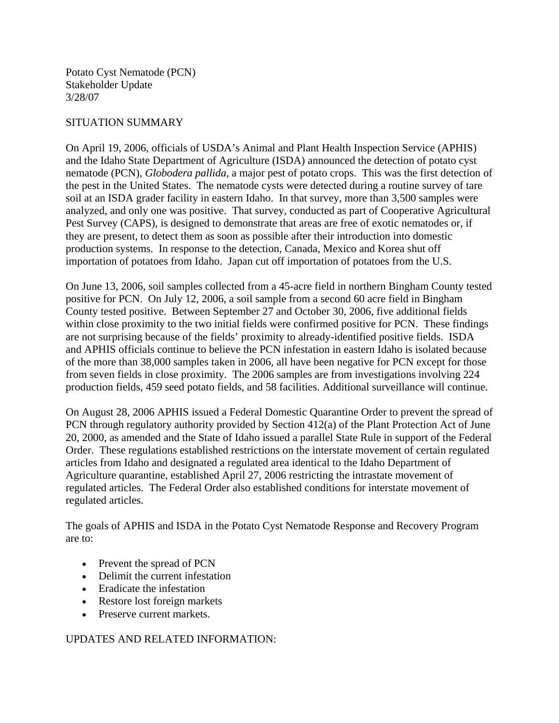Potato Cyst Nematode (PCN) Stakeholder Update 3/28/07

## SITUATION SUMMARY

On April 19, 2006, officials of USDA's Animal and Plant Health Inspection Service (APHIS) and the Idaho State Department of Agriculture (ISDA) announced the detection of potato cyst nematode (PCN), *Globodera pallida*, a major pest of potato crops. This was the first detection of the pest in the United States. The nematode cysts were detected during a routine survey of tare soil at an ISDA grader facility in eastern Idaho. In that survey, more than 3,500 samples were analyzed, and only one was positive. That survey, conducted as part of Cooperative Agricultural Pest Survey (CAPS), is designed to demonstrate that areas are free of exotic nematodes or, if they are present, to detect them as soon as possible after their introduction into domestic production systems. In response to the detection, Canada, Mexico and Korea shut off importation of potatoes from Idaho. Japan cut off importation of potatoes from the U.S.

On June 13, 2006, soil samples collected from a 45-acre field in northern Bingham County tested positive for PCN. On July 12, 2006, a soil sample from a second 60 acre field in Bingham County tested positive. Between September 27 and October 30, 2006, five additional fields within close proximity to the two initial fields were confirmed positive for PCN. These findings are not surprising because of the fields' proximity to already-identified positive fields. ISDA and APHIS officials continue to believe the PCN infestation in eastern Idaho is isolated because of the more than 38,000 samples taken in 2006, all have been negative for PCN except for those from seven fields in close proximity. The 2006 samples are from investigations involving 224 production fields, 459 seed potato fields, and 58 facilities. Additional surveillance will continue.

On August 28, 2006 APHIS issued a Federal Domestic Quarantine Order to prevent the spread of PCN through regulatory authority provided by Section 412(a) of the Plant Protection Act of June 20, 2000, as amended and the State of Idaho issued a parallel State Rule in support of the Federal Order. These regulations established restrictions on the interstate movement of certain regulated articles from Idaho and designated a regulated area identical to the Idaho Department of Agriculture quarantine, established April 27, 2006 restricting the intrastate movement of regulated articles. The Federal Order also established conditions for interstate movement of regulated articles.

The goals of APHIS and ISDA in the Potato Cyst Nematode Response and Recovery Program are to:

- Prevent the spread of PCN
- Delimit the current infestation
- Eradicate the infestation
- Restore lost foreign markets
- Preserve current markets.

UPDATES AND RELATED INFORMATION: